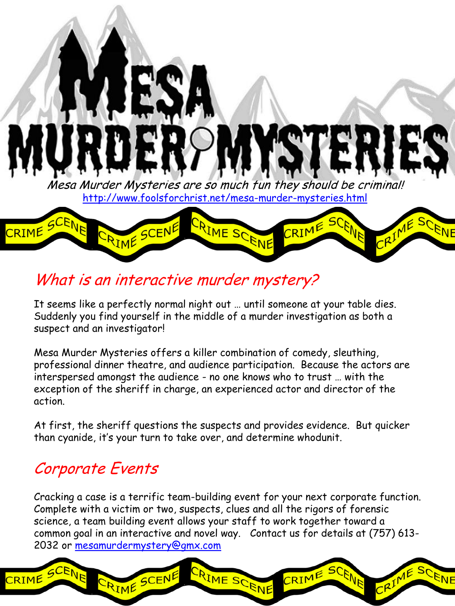Mesa Murder Mysteries are so much fun they should be criminal! <http://www.foolsforchrist.net/mesa-murder-mysteries.html>



### What is an interactive murder mystery?

It seems like a perfectly normal night out … until someone at your table dies. Suddenly you find yourself in the middle of a murder investigation as both a suspect and an investigator!

Mesa Murder Mysteries offers a killer combination of comedy, sleuthing, professional dinner theatre, and audience participation. Because the actors are interspersed amongst the audience - no one knows who to trust … with the exception of the sheriff in charge, an experienced actor and director of the action.

At first, the sheriff questions the suspects and provides evidence. But quicker than cyanide, it's your turn to take over, and determine whodunit.

#### Corporate Events

RIME

RIME SCENE

Cracking a case is a terrific team-building event for your next corporate function. Complete with a victim or two, suspects, clues and all the rigors of forensic science, a team building event allows your staff to work together toward a common goal in an interactive and novel way. Contact us for details at (757) 613- 2032 or [mesamurdermystery@gmx.com](mailto:mesamurdermystery@gmx.com)

CRIME SCENE

SCENE

CRIME

ENE

 $RIM^6$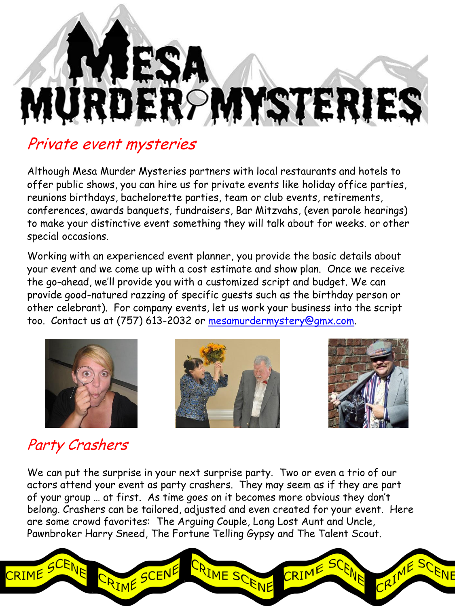# ESA ROMYSTERIES

#### Private event mysteries

Although Mesa Murder Mysteries partners with local restaurants and hotels to offer public shows, you can hire us for private events like holiday office parties, reunions birthdays, bachelorette parties, team or club events, retirements, conferences, awards banquets, fundraisers, Bar Mitzvahs, (even parole hearings) to make your distinctive event something they will talk about for weeks. or other special occasions.

Working with an experienced event planner, you provide the basic details about your event and we come up with a cost estimate and show plan. Once we receive the go-ahead, we'll provide you with a customized script and budget. We can provide good-natured razzing of specific guests such as the birthday person or other celebrant). For company events, let us work your business into the script too. Contact us at (757) 613-2032 or [mesamurdermystery@gmx.com.](mailto:mesamurdermystery@gmx.com)







## Party Crashers

We can put the surprise in your next surprise party. Two or even a trio of our actors attend your event as party crashers. They may seem as if they are part of your group … at first. As time goes on it becomes more obvious they don't belong. Crashers can be tailored, adjusted and even created for your event. Here are some crowd favorites: The Arguing Couple, Long Lost Aunt and Uncle, Pawnbroker Harry Sneed, The Fortune Telling Gypsy and The Talent Scout.